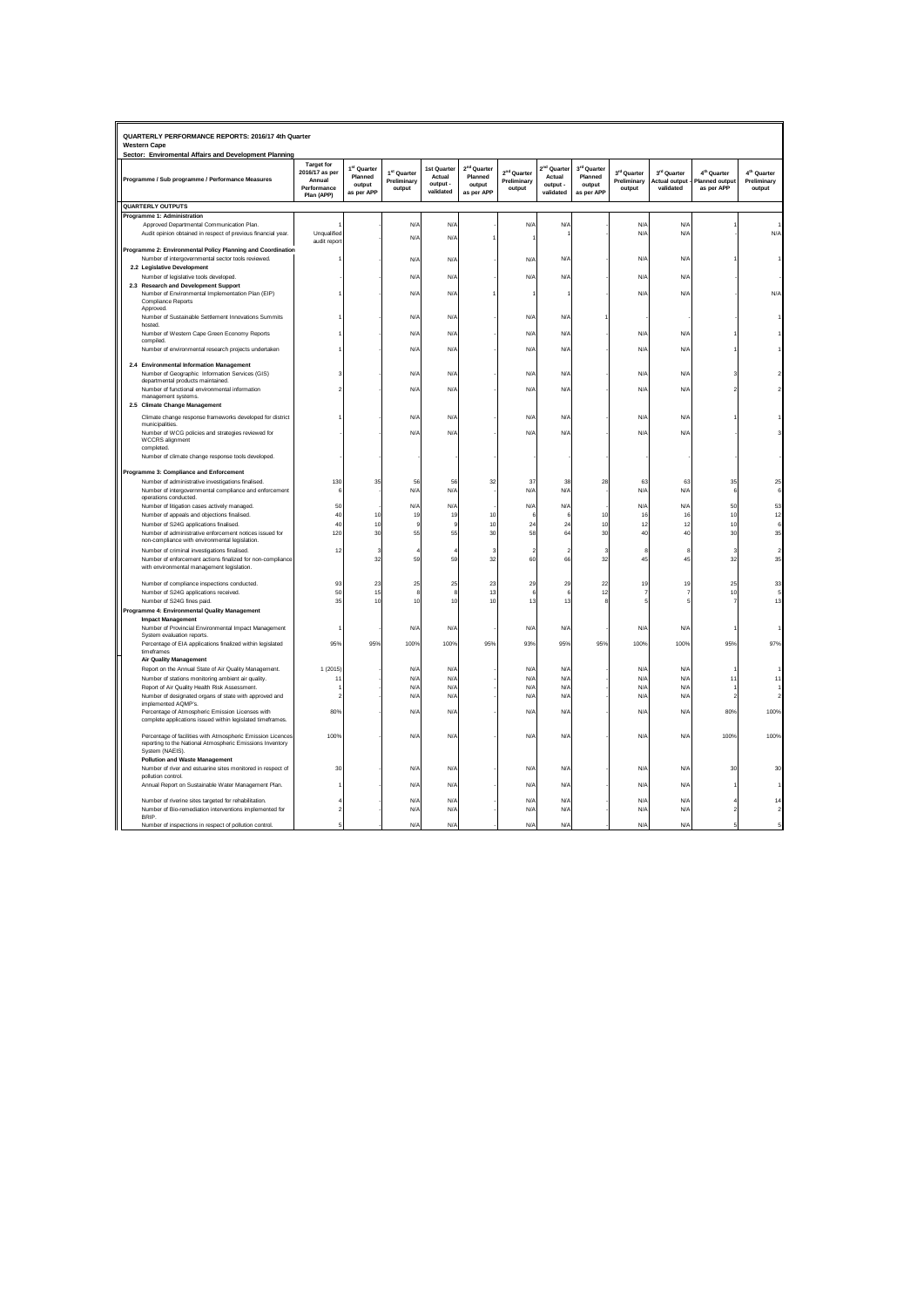| QUARTERLY PERFORMANCE REPORTS: 2016/17 4th Quarter<br><b>Western Cape</b>                                                                   |                                                                            |                                                            |                                                  |                                                |                                                            |                                                  |                                         |                                                            |                                                  |                                           |                                                                |                                                  |
|---------------------------------------------------------------------------------------------------------------------------------------------|----------------------------------------------------------------------------|------------------------------------------------------------|--------------------------------------------------|------------------------------------------------|------------------------------------------------------------|--------------------------------------------------|-----------------------------------------|------------------------------------------------------------|--------------------------------------------------|-------------------------------------------|----------------------------------------------------------------|--------------------------------------------------|
| Sector: Enviromental Affairs and Development Planning<br>Programme / Sub programme / Performance Measures                                   | <b>Target for</b><br>2016/17 as per<br>Annual<br>Performance<br>Plan (APP) | 1 <sup>st</sup> Quarter<br>Planned<br>output<br>as per APP | 1 <sup>st</sup> Quarter<br>Preliminary<br>output | 1st Quarter<br>Actual<br>output -<br>validated | 2 <sup>nd</sup> Quarter<br>Planned<br>output<br>as per APP | 2 <sup>nd</sup> Quarter<br>Preliminary<br>output | Quarte<br>Actual<br>output<br>validated | 3 <sup>rd</sup> Quarter<br>Planned<br>output<br>as per APP | 3 <sup>rd</sup> Quarter<br>Preliminary<br>output | 3rd Quarter<br>Actual output<br>validated | 4 <sup>th</sup> Quarter<br><b>Planned output</b><br>as per APP | 4 <sup>th</sup> Quarter<br>Preliminary<br>output |
| <b>QUARTERLY OUTPUTS</b>                                                                                                                    |                                                                            |                                                            |                                                  |                                                |                                                            |                                                  |                                         |                                                            |                                                  |                                           |                                                                |                                                  |
| Programme 1: Administration                                                                                                                 |                                                                            |                                                            |                                                  |                                                |                                                            |                                                  |                                         |                                                            |                                                  |                                           |                                                                |                                                  |
| Approved Departmental Communication Plan.                                                                                                   |                                                                            |                                                            | N/A                                              | N/4                                            |                                                            | N/f                                              | N/                                      |                                                            | $N$ /                                            | N/l                                       |                                                                |                                                  |
| Audit opinion obtained in respect of previous financial year.                                                                               | Unqualified<br>audit repor                                                 |                                                            | $N$ /                                            | N/4                                            |                                                            |                                                  |                                         |                                                            | N/l                                              | N/I                                       |                                                                | N/L                                              |
| Programme 2: Environmental Policy Planning and Coordination                                                                                 |                                                                            |                                                            |                                                  |                                                |                                                            |                                                  |                                         |                                                            |                                                  |                                           |                                                                |                                                  |
| Number of intergovernmental sector tools reviewed.                                                                                          |                                                                            |                                                            | N/A                                              | N/A                                            |                                                            | N/A                                              | N/A                                     |                                                            | $N/\beta$                                        | N/f                                       |                                                                |                                                  |
| 2.2 Legislative Development                                                                                                                 |                                                                            |                                                            |                                                  |                                                |                                                            |                                                  |                                         |                                                            |                                                  |                                           |                                                                |                                                  |
| Number of legislative tools developed.                                                                                                      |                                                                            |                                                            | N/f                                              | $N/\beta$                                      |                                                            | N/f                                              | N/I                                     |                                                            | $N/\beta$                                        | N/I                                       |                                                                |                                                  |
| 2.3 Research and Development Support<br>Number of Environmental Implementation Plan (EIP)<br><b>Compliance Reports</b><br>Approved.         |                                                                            |                                                            | N/A                                              | $N/\beta$                                      |                                                            |                                                  |                                         |                                                            | $N/\beta$                                        | N/f                                       |                                                                | N/L                                              |
| Number of Sustainable Settlement Innovations Summits                                                                                        |                                                                            |                                                            | N/A                                              | N/A                                            |                                                            | N/A                                              | N/f                                     |                                                            |                                                  |                                           |                                                                |                                                  |
| hosted.                                                                                                                                     |                                                                            |                                                            |                                                  |                                                |                                                            |                                                  |                                         |                                                            | N/4                                              | N/4                                       |                                                                |                                                  |
| Number of Western Cape Green Economy Reports<br>compiled.                                                                                   |                                                                            |                                                            | N/f                                              | N/F                                            |                                                            | N/A                                              | N/f                                     |                                                            |                                                  |                                           |                                                                |                                                  |
| Number of environmental research projects undertaken                                                                                        |                                                                            |                                                            | $N/\rho$                                         | $N/\beta$                                      |                                                            | N/A                                              | N/A                                     |                                                            | $N/\beta$                                        | N/f                                       |                                                                |                                                  |
| 2.4 Environmental Information Management                                                                                                    |                                                                            |                                                            |                                                  |                                                |                                                            |                                                  |                                         |                                                            |                                                  |                                           |                                                                |                                                  |
| Number of Geographic Information Services (GIS)<br>departmental products maintained.                                                        |                                                                            |                                                            | N/A                                              | N/A                                            |                                                            | N/A                                              | N/A                                     |                                                            | $N/\beta$                                        | N/f                                       |                                                                |                                                  |
| Number of functional environmental information                                                                                              |                                                                            |                                                            | N/I                                              | $N/\beta$                                      |                                                            | N/A                                              | N/I                                     |                                                            | $N/\beta$                                        | N/f                                       |                                                                |                                                  |
| management systems.                                                                                                                         |                                                                            |                                                            |                                                  |                                                |                                                            |                                                  |                                         |                                                            |                                                  |                                           |                                                                |                                                  |
| 2.5 Climate Change Management                                                                                                               |                                                                            |                                                            |                                                  |                                                |                                                            |                                                  |                                         |                                                            |                                                  |                                           |                                                                |                                                  |
| Climate change response frameworks developed for district                                                                                   |                                                                            |                                                            | N/f                                              | $N/\beta$                                      |                                                            | N/f                                              | N/f                                     |                                                            | $N/\beta$                                        | N/f                                       |                                                                |                                                  |
| municipalities                                                                                                                              |                                                                            |                                                            |                                                  |                                                |                                                            |                                                  | N/f                                     |                                                            | $N/\beta$                                        |                                           |                                                                |                                                  |
| Number of WCG policies and strategies reviewed for<br><b>WCCRS</b> alignment                                                                |                                                                            |                                                            | N/f                                              | N/A                                            |                                                            | N/f                                              |                                         |                                                            |                                                  | N/f                                       |                                                                |                                                  |
| completed.                                                                                                                                  |                                                                            |                                                            |                                                  |                                                |                                                            |                                                  |                                         |                                                            |                                                  |                                           |                                                                |                                                  |
| Number of climate change response tools developed                                                                                           |                                                                            |                                                            |                                                  |                                                |                                                            |                                                  |                                         |                                                            |                                                  |                                           |                                                                |                                                  |
|                                                                                                                                             |                                                                            |                                                            |                                                  |                                                |                                                            |                                                  |                                         |                                                            |                                                  |                                           |                                                                |                                                  |
| Programme 3: Compliance and Enforcement<br>Number of administrative investigations finalised.                                               | 130                                                                        | 35                                                         | 56                                               | 56                                             | 32                                                         | 37                                               | 38                                      | 28                                                         | 63                                               | 63                                        | 35                                                             |                                                  |
| Number of intergovernmental compliance and enforcement                                                                                      |                                                                            |                                                            | N/A                                              | N/A                                            |                                                            | N/A                                              | N/A                                     |                                                            | $N/\beta$                                        | N/A                                       | 6                                                              |                                                  |
| operations conducted.                                                                                                                       |                                                                            |                                                            |                                                  |                                                |                                                            |                                                  |                                         |                                                            |                                                  |                                           |                                                                |                                                  |
| Number of litigation cases actively managed.                                                                                                | 50                                                                         |                                                            | N/f                                              | N/A                                            |                                                            | N/A                                              | N/A                                     |                                                            | N/A                                              | N/A                                       | 50                                                             |                                                  |
| Number of appeals and objections finalised.                                                                                                 | 40                                                                         | 10                                                         | 19                                               | 19                                             | 10                                                         |                                                  |                                         | 10                                                         | 16                                               | 16                                        | 10                                                             |                                                  |
| Number of S24G applications finalised.<br>Number of administrative enforcement notices issued for                                           | 40<br>120                                                                  | 10<br>30                                                   | 55                                               | 55                                             | 10<br>$\mathcal{R}$                                        | 24<br>58                                         | $\overline{2}$<br>64                    | 10<br>30                                                   | 12<br>40                                         | 12<br>40                                  | 10<br>30                                                       |                                                  |
| non-compliance with environmental legislation.                                                                                              |                                                                            |                                                            |                                                  |                                                |                                                            |                                                  |                                         |                                                            |                                                  |                                           |                                                                |                                                  |
| Number of criminal investigations finalised.                                                                                                | 12                                                                         | 3                                                          |                                                  |                                                | s                                                          |                                                  |                                         | 3                                                          |                                                  | 8                                         | 3                                                              |                                                  |
| Number of enforcement actions finalized for non-compliance                                                                                  |                                                                            | 32                                                         | 59                                               | 59                                             | 32                                                         | 60                                               | 66                                      | 32                                                         | 45                                               | 45                                        | 32                                                             |                                                  |
| with environmental management legislation.                                                                                                  |                                                                            |                                                            |                                                  |                                                |                                                            |                                                  |                                         |                                                            |                                                  |                                           |                                                                |                                                  |
| Number of compliance inspections conducted.                                                                                                 | 93                                                                         | 23                                                         | 25                                               | 25                                             | 23                                                         | 29                                               | 25                                      | 22                                                         | 19                                               | 19                                        | 25                                                             |                                                  |
| Number of S24G applications received.                                                                                                       | 50                                                                         | 15                                                         |                                                  | 8                                              | 13                                                         | $\epsilon$                                       |                                         | 12                                                         |                                                  |                                           | 10                                                             |                                                  |
| Number of S24G fines paid.                                                                                                                  | 35                                                                         | 10                                                         | 10                                               | 10                                             | 10                                                         | 13                                               | 13                                      |                                                            |                                                  |                                           |                                                                |                                                  |
| Programme 4: Environmental Quality Management                                                                                               |                                                                            |                                                            |                                                  |                                                |                                                            |                                                  |                                         |                                                            |                                                  |                                           |                                                                |                                                  |
| <b>Impact Management</b>                                                                                                                    |                                                                            |                                                            |                                                  |                                                |                                                            |                                                  |                                         |                                                            |                                                  |                                           |                                                                |                                                  |
| Number of Provincial Environmental Impact Management                                                                                        |                                                                            |                                                            | N/A                                              | N/A                                            |                                                            | N/A                                              | N/A                                     |                                                            | $N/\beta$                                        | N/f                                       |                                                                |                                                  |
| System evaluation reports.<br>Percentage of EIA applications finalized within legislated                                                    | 95%                                                                        | 95%                                                        | 100%                                             | 100%                                           | 95%                                                        | 93%                                              | 95%                                     | 95%                                                        | 100%                                             | 100%                                      | 95%                                                            | 97%                                              |
| timeframes                                                                                                                                  |                                                                            |                                                            |                                                  |                                                |                                                            |                                                  |                                         |                                                            |                                                  |                                           |                                                                |                                                  |
| <b>Air Quality Management</b>                                                                                                               |                                                                            |                                                            |                                                  |                                                |                                                            |                                                  |                                         |                                                            |                                                  |                                           |                                                                |                                                  |
| Report on the Annual State of Air Quality Management.                                                                                       | 1 (2015)                                                                   |                                                            | N/f                                              | $N/\beta$                                      |                                                            | N/A                                              | N/f                                     |                                                            | $N/\beta$                                        | N/l                                       |                                                                |                                                  |
| Number of stations monitoring ambient air quality.                                                                                          | -11                                                                        |                                                            | $N$ /                                            | N/4                                            |                                                            | N/l                                              | N/                                      |                                                            | $N/\ell$                                         | N/4                                       | 1                                                              | 11                                               |
| Report of Air Quality Health Risk Assessment.                                                                                               |                                                                            |                                                            | N/                                               | N/A                                            |                                                            | N/f                                              | N/l                                     |                                                            | $N/\ell$                                         | N/4                                       |                                                                |                                                  |
| Number of designated organs of state with approved and<br>implemented AQMP's.                                                               |                                                                            |                                                            | $N$ /                                            | $N/\beta$                                      |                                                            | N/f                                              | $N$ /                                   |                                                            | N/A                                              | N/f                                       |                                                                |                                                  |
| Percentage of Atmospheric Emission Licenses with                                                                                            | 80%                                                                        |                                                            | N/f                                              | $N/\beta$                                      |                                                            | N/f                                              | N/f                                     |                                                            | $N/\beta$                                        | N/f                                       | 80%                                                            | 100%                                             |
| complete applications issued within legislated timeframes.                                                                                  |                                                                            |                                                            |                                                  |                                                |                                                            |                                                  |                                         |                                                            |                                                  |                                           |                                                                |                                                  |
| Percentage of facilities with Atmospheric Emission Licences<br>reporting to the National Atmospheric Emissions Inventory<br>System (NAEIS). | 100%                                                                       |                                                            | N/A                                              | N/A                                            |                                                            | N/f                                              | N/f                                     |                                                            | N/F                                              | N/A                                       | 100%                                                           | 100%                                             |
| <b>Pollution and Waste Management</b>                                                                                                       |                                                                            |                                                            |                                                  |                                                |                                                            |                                                  |                                         |                                                            |                                                  |                                           |                                                                |                                                  |
| Number of river and estuarine sites monitored in respect of                                                                                 | 3 <sub>0</sub>                                                             |                                                            | N/A                                              | N/A                                            |                                                            | N/A                                              | N/A                                     |                                                            | $N/\beta$                                        | N/f                                       | 30                                                             |                                                  |
| pollution control.<br>Annual Report on Sustainable Water Management Plan.                                                                   |                                                                            |                                                            | $N$ /                                            | N/4                                            |                                                            | N/A                                              | N/A                                     |                                                            | N/4                                              | N/4                                       |                                                                |                                                  |
|                                                                                                                                             |                                                                            |                                                            |                                                  |                                                |                                                            |                                                  |                                         |                                                            |                                                  |                                           |                                                                |                                                  |
| Number of riverine sites targeted for rehabilitation.                                                                                       |                                                                            |                                                            | N/f                                              | $N/\beta$                                      |                                                            | N/L                                              | N/l                                     |                                                            | $N/\beta$                                        | N/f                                       |                                                                |                                                  |
| Number of Bio-remediation interventions implemented for<br><b>BRIP</b>                                                                      |                                                                            |                                                            | N/f                                              | N/A                                            |                                                            | N/f                                              | N/f                                     |                                                            | N/A                                              | N/A                                       |                                                                |                                                  |
| Number of inspections in respect of pollution control.                                                                                      |                                                                            |                                                            | N/A                                              | N/A                                            |                                                            | N/A                                              | N/A                                     |                                                            | N/A                                              | N/f                                       |                                                                |                                                  |